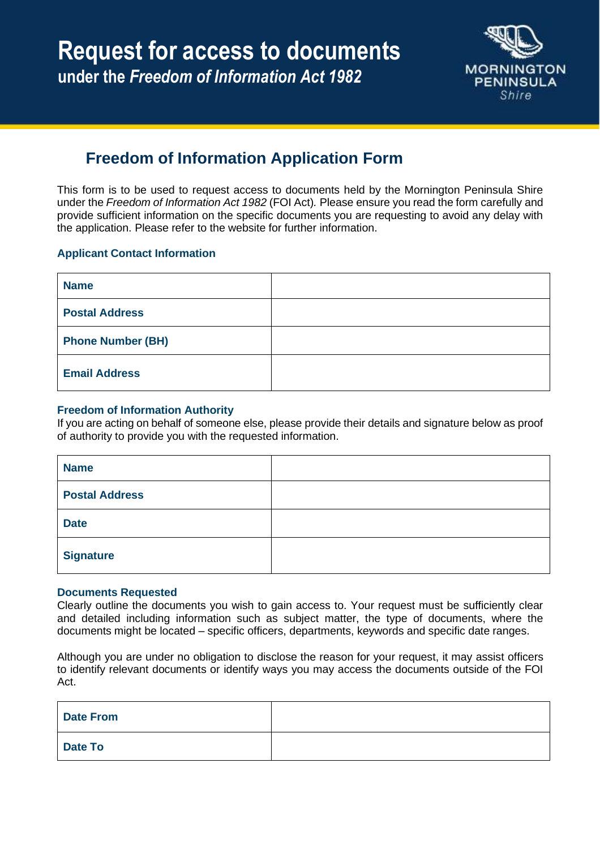

# **Freedom of Information Application Form**

This form is to be used to request access to documents held by the Mornington Peninsula Shire under the *Freedom of Information Act 1982* (FOI Act)*.* Please ensure you read the form carefully and provide sufficient information on the specific documents you are requesting to avoid any delay with the application. Please refer to the website for further information.

### **Applicant Contact Information**

| <b>Name</b>              |  |
|--------------------------|--|
| <b>Postal Address</b>    |  |
| <b>Phone Number (BH)</b> |  |
| <b>Email Address</b>     |  |

#### **Freedom of Information Authority**

If you are acting on behalf of someone else, please provide their details and signature below as proof of authority to provide you with the requested information.

| <b>Name</b>           |  |
|-----------------------|--|
| <b>Postal Address</b> |  |
| <b>Date</b>           |  |
| <b>Signature</b>      |  |

#### **Documents Requested**

Clearly outline the documents you wish to gain access to. Your request must be sufficiently clear and detailed including information such as subject matter, the type of documents, where the documents might be located – specific officers, departments, keywords and specific date ranges.

Although you are under no obligation to disclose the reason for your request, it may assist officers to identify relevant documents or identify ways you may access the documents outside of the FOI Act.

| <b>Date From</b> |  |
|------------------|--|
| <b>Date To</b>   |  |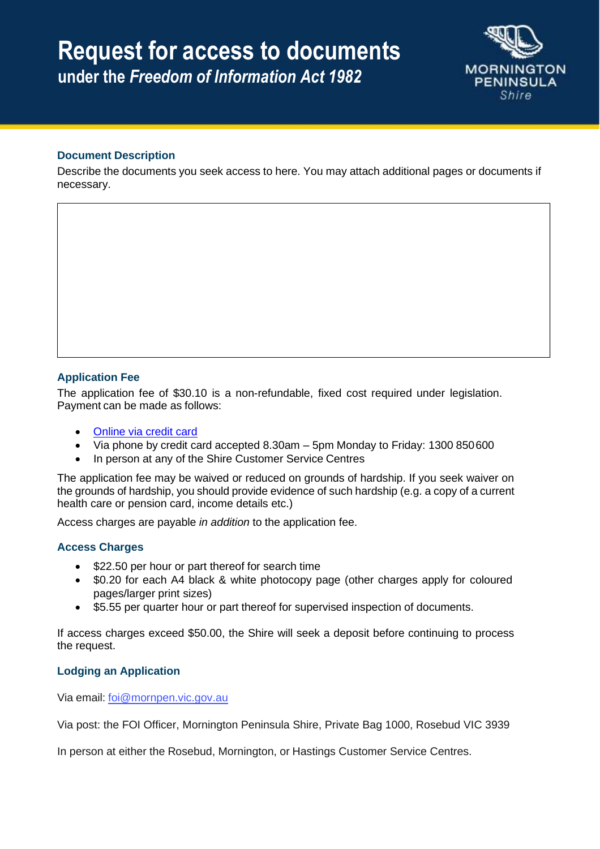# **Request for access to documents under the** *Freedom of Information Act 1982*



## **Document Description**

Describe the documents you seek access to here. You may attach additional pages or documents if necessary.

### **Application Fee**

The application fee of \$30.10 is a non-refundable, fixed cost required under legislation. Payment can be made as follows:

- Online via [credit card](https://pay.mornpen.vic.gov.au/rte-payments/tran?UDS_ACTION=DEFAULT&UDS_ACTION_DATA=ZC1dB0VBXAVOLyAER0JDBltSQnc-UjEbWEhGK3ZOXTEMTVpV)
- Via phone by credit card accepted 8.30am 5pm Monday to Friday: 1300 850600
- In person at any of the Shire Customer Service Centres

The application fee may be waived or reduced on grounds of hardship. If you seek waiver on the grounds of hardship, you should provide evidence of such hardship (e.g. a copy of a current health care or pension card, income details etc.)

Access charges are payable *in addition* to the application fee.

### **Access Charges**

- \$22.50 per hour or part thereof for search time
- \$0.20 for each A4 black & white photocopy page (other charges apply for coloured pages/larger print sizes)
- \$5.55 per quarter hour or part thereof for supervised inspection of documents.

If access charges exceed \$50.00, the Shire will seek a deposit before continuing to process the request.

### **Lodging an Application**

Via email: [foi@mornpen.vic.gov.au](mailto:foi@mornpen.vic.gov.au)

Via post: the FOI Officer, Mornington Peninsula Shire, Private Bag 1000, Rosebud VIC 3939

In person at either the Rosebud, Mornington, or Hastings Customer Service Centres.